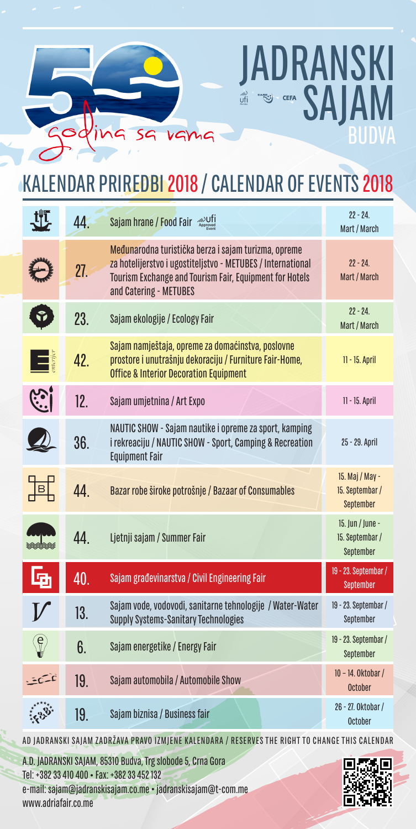## KALENDAR PRIREDBI 2018 / CALENDAR OF EVENTS 2018

DRANSKI<br>SAJAM

|                          | 44. | Sajam hrane / Food Fair <b>ADDNA</b>                                                                                                                                                                     | $22 - 24.$<br>Mart / March                       |
|--------------------------|-----|----------------------------------------------------------------------------------------------------------------------------------------------------------------------------------------------------------|--------------------------------------------------|
|                          | 27. | Međunarodna turistička berza i sajam turizma, opreme<br>za hotelijerstvo i ugostiteljstvo - METUBES / International<br>Tourism Exchange and Tourism Fair, Equipment for Hotels<br>and Catering - METUBES | $22 - 24$ .<br>Mart / March                      |
| Ŷ                        | 23. | Sajam ekologije / Ecology Fair                                                                                                                                                                           | $22 - 24$ .<br>Mart / March                      |
| $\Box$                   | 42. | Sajam namještaja, opreme za domaćinstva, poslovne<br>prostore i unutrašnju dekoraciju / Furniture Fair-Home,<br><b>Office &amp; Interior Decoration Equipment</b>                                        | 11 - 15. April                                   |
| <u>( )</u>               | 12. | Sajam umjetnina / Art Expo                                                                                                                                                                               | 11 - 15. April                                   |
|                          | 36. | NAUTIC SHOW - Sajam nautike i opreme za sport, kamping<br>i rekreaciju / NAUTIC SHOW - Sport, Camping & Recreation<br><b>Equipment Fair</b>                                                              | 25 - 29. April                                   |
| 垣                        | 44. | Bazar robe široke potrošnje / Bazaar of Consumables                                                                                                                                                      | 15. Maj / May -<br>15. Septembar /<br>September  |
|                          | 44. | Ljetnji sajam / Summer Fair                                                                                                                                                                              | 15. Jun / June -<br>15. Septembar /<br>September |
| 昼                        | 40. | Sajam građevinarstva / Civil Engineering Fair                                                                                                                                                            | 19 - 23. Septembar /<br>September                |
|                          | 13. | Sajam vode, vodovodi, sanitarne tehnologije / Water-Water<br><b>Supply Systems-Sanitary Technologies</b>                                                                                                 | 19 - 23. Septembar /<br>September                |
| $\langle \theta \rangle$ | 6.  | Sajam energetike / Energy Fair                                                                                                                                                                           | 19 - 23. Septembar /<br>September                |
|                          | 19. | Sajam automobila / Automobile Show                                                                                                                                                                       | 10 - 14. Oktobar /<br><b>October</b>             |
|                          | 19. | Sajam biznisa / Business fair                                                                                                                                                                            | 26 - 27. Oktobar /<br><b>October</b>             |
|                          |     |                                                                                                                                                                                                          |                                                  |

AD JADRANSKI SAJAM ZADRŽAVA PRAVO IZMJENE KALENDARA / RESERVES THE RIGHT TO CHANGE THIS CALENDAR

A.D. JADRANSKI SAJAM, 85310 Budva, Trg slobode 5, Crna Gora Tel: +382 33 410 400 Fax: +382 33 452 132 e-mail: sajam@jadranskisajam.co.me · jadranskisajam@t-com.me www.adriafair.co.me